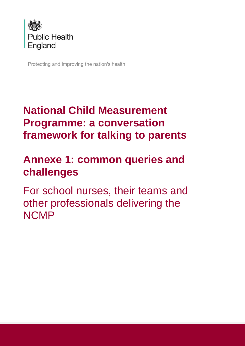

Protecting and improving the nation's health

## **National Child Measurement Programme: a conversation framework for talking to parents**

# **Annexe 1: common queries and challenges**

For school nurses, their teams and other professionals delivering the **NCMP**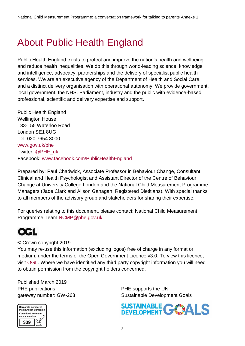## About Public Health England

Public Health England exists to protect and improve the nation's health and wellbeing, and reduce health inequalities. We do this through world-leading science, knowledge and intelligence, advocacy, partnerships and the delivery of specialist public health services. We are an executive agency of the Department of Health and Social Care, and a distinct delivery organisation with operational autonomy. We provide government, local government, the NHS, Parliament, industry and the public with evidence-based professional, scientific and delivery expertise and support.

Public Health England Wellington House 133-155 Waterloo Road London SE1 8UG Tel: 020 7654 8000 [www.gov.uk/phe](http://www.gov.uk/phe) Twitter: [@PHE\\_uk](https://twitter.com/PHE_uk) Facebook: [www.facebook.com/PublicHealthEngland](http://www.facebook.com/PublicHealthEngland)

Prepared by: Paul Chadwick, Associate Professor in Behaviour Change, Consultant Clinical and Health Psychologist and Assistant Director of the Centre of Behaviour Change at University College London and the National Child Measurement Programme Managers (Jade Clark and Alison Gahagan, Registered Dietitians). With special thanks to all members of the advisory group and stakeholders for sharing their expertise.

For queries relating to this document, please contact: National Child Measurement Programme Team [NCMP@phe.gov.uk](mailto:NCMP@phe.gov.uk)

## QGL

© Crown copyright 2019

You may re-use this information (excluding logos) free of charge in any format or medium, under the terms of the Open Government Licence v3.0. To view this licence, visit [OGL.](https://www.nationalarchives.gov.uk/doc/open-government-licence/version/3/) Where we have identified any third party copyright information you will need to obtain permission from the copyright holders concerned.

Published March 2019 PHE publications **PHE** supports the UN

gateway number: GW-263 Sustainable Development Goals



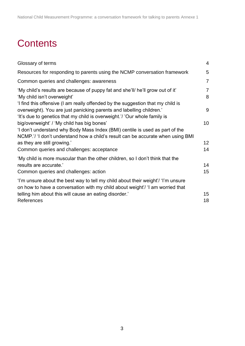## **Contents**

| Glossary of terms                                                                                                                                                                                             | $\overline{4}$      |
|---------------------------------------------------------------------------------------------------------------------------------------------------------------------------------------------------------------|---------------------|
| Resources for responding to parents using the NCMP conversation framework                                                                                                                                     | 5                   |
| Common queries and challenges: awareness                                                                                                                                                                      | $\overline{7}$      |
| 'My child's results are because of puppy fat and she'll/ he'll grow out of it'<br>'My child isn't overweight'<br>'I find this offensive (I am really offended by the suggestion that my child is              | $\overline{7}$<br>8 |
| overweight). You are just panicking parents and labelling children.'<br>'It's due to genetics that my child is overweight.'/ 'Our whole family is                                                             | 9                   |
| big/overweight' / 'My child has big bones'<br>'I don't understand why Body Mass Index (BMI) centile is used as part of the<br>NCMP.'/ 'I don't understand how a child's result can be accurate when using BMI | 10                  |
| as they are still growing.'                                                                                                                                                                                   | 12                  |
| Common queries and challenges: acceptance                                                                                                                                                                     | 14                  |
| 'My child is more muscular than the other children, so I don't think that the                                                                                                                                 |                     |
| results are accurate.'                                                                                                                                                                                        | 14                  |
| Common queries and challenges: action                                                                                                                                                                         | 15                  |
| 'i'm unsure about the best way to tell my child about their weight'/ 'i'm unsure<br>on how to have a conversation with my child about weight'/ 'I am worried that                                             |                     |
| telling him about this will cause an eating disorder.'                                                                                                                                                        | 15                  |
| References                                                                                                                                                                                                    | 18                  |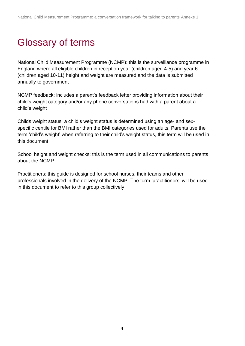## <span id="page-3-0"></span>Glossary of terms

National Child Measurement Programme (NCMP): this is the surveillance programme in England where all eligible children in reception year (children aged 4-5) and year 6 (children aged 10-11) height and weight are measured and the data is submitted annually to government

NCMP feedback: includes a parent's feedback letter providing information about their child's weight category and/or any phone conversations had with a parent about a child's weight

Childs weight status: a child's weight status is determined using an age- and sexspecific centile for BMI rather than the BMI categories used for adults. Parents use the term 'child's weight' when referring to their child's weight status, this term will be used in this document

School height and weight checks: this is the term used in all communications to parents about the NCMP

Practitioners: this guide is designed for school nurses, their teams and other professionals involved in the delivery of the NCMP. The term 'practitioners' will be used in this document to refer to this group collectively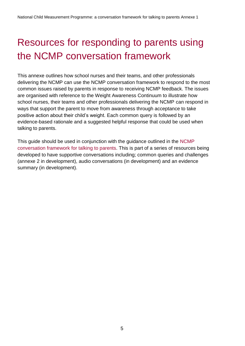# <span id="page-4-0"></span>Resources for responding to parents using the NCMP conversation framework

This annexe outlines how school nurses and their teams, and other professionals delivering the NCMP can use the NCMP conversation framework to respond to the most common issues raised by parents in response to receiving NCMP feedback. The issues are organised with reference to the Weight Awareness Continuum to illustrate how school nurses, their teams and other professionals delivering the NCMP can respond in ways that support the parent to move from awareness through acceptance to take positive action about their child's weight. Each common query is followed by an evidence-based rationale and a suggested helpful response that could be used when talking to parents.

This guide should be used in conjunction with the guidance outlined in the NCMP conversation framework for talking to parents. This is part of a series of resources being developed to have supportive conversations including; common queries and challenges (annexe 2 in development), audio conversations (in development) and an evidence summary (in development).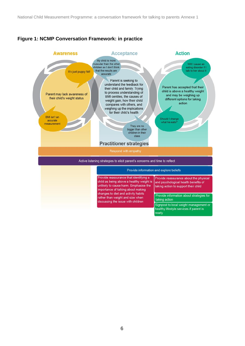### **Figure 1: NCMP Conversation Framework: in practice**

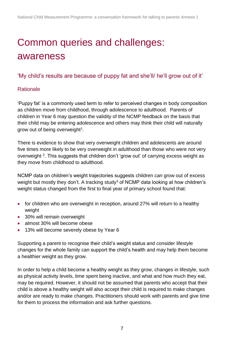# <span id="page-6-0"></span>Common queries and challenges: awareness

## <span id="page-6-1"></span>'My child's results are because of puppy fat and she'll/ he'll grow out of it'

## **Rationale**

'Puppy fat' is a commonly used term to refer to perceived changes in body composition as children move from childhood, through adolescence to adulthood. Parents of children in Year 6 may question the validity of the NCMP feedback on the basis that their child may be entering adolescence and others may think their child will naturally grow out of being overweight<sup>1</sup>.

There is evidence to show that very overweight children and adolescents are around five times more likely to be very overweight in adulthood than those who were not very overweight <sup>2</sup>. This suggests that children don't 'grow out' of carrying excess weight as they move from childhood to adulthood.

NCMP data on children's weight trajectories suggests children *can* grow out of excess weight but mostly they don't. A tracking study<sup>3</sup> of NCMP data looking at how children's weight status changed from the first to final year of primary school found that:

- for children who are overweight in reception, around 27% will return to a healthy weight
- 30% will remain overweight
- almost 30% will become obese
- 13% will become severely obese by Year 6

Supporting a parent to recognise their child's weight status and consider lifestyle changes for the whole family can support the child's health and may help them become a healthier weight as they grow.

In order to help a child become a healthy weight as they grow, changes in lifestyle, such as physical activity levels, time spent being inactive, and what and how much they eat, may be required. However, it should not be assumed that parents who accept that their child is above a healthy weight will also accept their child is required to make changes and/or are ready to make changes. Practitioners should work with parents and give time for them to process the information and ask further questions.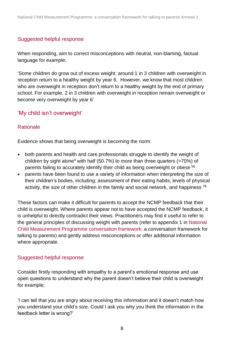### Suggested helpful response

When responding, aim to correct misconceptions with neutral, non-blaming, factual language for example;

'Some children do grow out of excess weight: around 1 in 3 children with overweight in reception return to a healthy weight by year 6. However, we know that most children who are overweight in reception don't return to a healthy weight by the end of primary school. For example, 2 in 3 children with overweight in reception remain overweight or become very overweight by year 6'

## <span id="page-7-0"></span>'My child isn't overweight'

### **Rationale**

Evidence shows that being overweight is becoming the norm:

- both parents and health and care professionals struggle to identify the weight of children by sight alone<sup>4</sup> with half (50.7%) to more than three quarters ( $>70\%$ ) of parents failing to accurately identify their child as being overweight or obese <sup>56</sup>
- parents have been found to use a variety of information when interpreting the size of their children's bodies, including; assessment of their eating habits, levels of physical activity, the size of other children in the family and social network, and happiness  $^{78}$

These factors can make it difficult for parents to accept the NCMP feedback that their child is overweight. Where parents appear not to have accepted the NCMP feedback, it is unhelpful to directly contradict their views. Practitioners may find it useful to refer to the general principles of discussing weight with parents (refer to appendix 1 in National Child Measurement Programme conversation framework: a conversation framework for talking to parents) and gently address misconceptions or offer additional information where appropriate.

## Suggested helpful response

Consider firstly responding with empathy to a parent's emotional response and use open questions to understand why the parent doesn't believe their child is overweight for example;

'I can tell that you are angry about receiving this information and it doesn't match how you understand your child's size. Could I ask you why you think the information in the feedback letter is wrong?'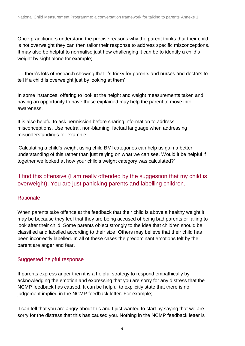Once practitioners understand the precise reasons why the parent thinks that their child is not overweight they can then tailor their response to address specific misconceptions. It may also be helpful to normalise just how challenging it can be to identify a child's weight by sight alone for example;

'… there's lots of research showing that it's tricky for parents and nurses and doctors to tell if a child is overweight just by looking at them'

In some instances, offering to look at the height and weight measurements taken and having an opportunity to have these explained may help the parent to move into awareness.

It is also helpful to ask permission before sharing information to address misconceptions. Use neutral, non-blaming, factual language when addressing misunderstandings for example;

'Calculating a child's weight using child BMI categories can help us gain a better understanding of this rather than just relying on what we can see. Would it be helpful if together we looked at how your child's weight category was calculated?'

## <span id="page-8-0"></span>'I find this offensive (I am really offended by the suggestion that my child is overweight). You are just panicking parents and labelling children.'

### **Rationale**

When parents take offence at the feedback that their child is above a healthy weight it may be because they feel that they are being accused of being bad parents or failing to look after their child. Some parents object strongly to the idea that children should be classified and labelled according to their size. Others may believe that their child has been incorrectly labelled. In all of these cases the predominant emotions felt by the parent are anger and fear.

### Suggested helpful response

If parents express anger then it is a helpful strategy to respond empathically by acknowledging the emotion and expressing that you are sorry for any distress that the NCMP feedback has caused. It can be helpful to explicitly state that there is no judgement implied in the NCMP feedback letter. For example;

'I can tell that you are angry about this and I just wanted to start by saying that we are sorry for the distress that this has caused you. Nothing in the NCMP feedback letter is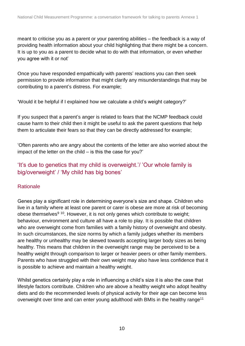meant to criticise you as a parent or your parenting abilities – the feedback is a way of providing health information about your child highlighting that there might be a concern. It is up to you as a parent to decide what to do with that information, or even whether you agree with it or not'

Once you have responded empathically with parents' reactions you can then seek permission to provide information that might clarify any misunderstandings that may be contributing to a parent's distress. For example;

'Would it be helpful if I explained how we calculate a child's weight category?'

If you suspect that a parent's anger is related to fears that the NCMP feedback could cause harm to their child then it might be useful to ask the parent questions that help them to articulate their fears so that they can be directly addressed for example;

'Often parents who are angry about the contents of the letter are also worried about the impact of the letter on the child – is this the case for you?'

## <span id="page-9-0"></span>'It's due to genetics that my child is overweight.'/ 'Our whole family is big/overweight' / 'My child has big bones'

## **Rationale**

Genes play a significant role in determining everyone's size and shape. Children who live in a family where at least one parent or carer is obese are more at risk of becoming obese themselves<sup>9 10</sup>. However, it is not only genes which contribute to weight; behaviour, environment and culture all have a role to play. It is possible that children who are overweight come from families with a family history of overweight and obesity. In such circumstances, the size norms by which a family judges whether its members are healthy or unhealthy may be skewed towards accepting larger body sizes as being healthy. This means that children in the overweight range may be perceived to be a healthy weight through comparison to larger or heavier peers or other family members. Parents who have struggled with their own weight may also have less confidence that it is possible to achieve and maintain a healthy weight.

Whilst genetics certainly play a role in influencing a child's size it is also the case that lifestyle factors contribute. Children who are above a healthy weight who adopt healthy diets and do the recommended levels of physical activity for their age can become less overweight over time and can enter young adulthood with BMIs in the healthy range<sup>11</sup>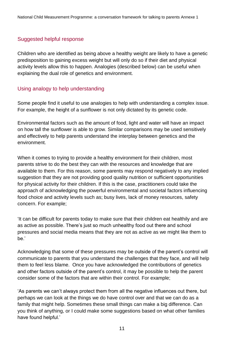#### Suggested helpful response

Children who are identified as being above a healthy weight are likely to have a genetic predisposition to gaining excess weight but will only do so if their diet and physical activity levels allow this to happen. Analogies (described below) can be useful when explaining the dual role of genetics and environment.

#### Using analogy to help understanding

Some people find it useful to use analogies to help with understanding a complex issue. For example, the height of a sunflower is not only dictated by its genetic code.

Environmental factors such as the amount of food, light and water will have an impact on how tall the sunflower is able to grow. Similar comparisons may be used sensitively and effectively to help parents understand the interplay between genetics and the environment.

When it comes to trying to provide a healthy environment for their children, most parents strive to do the best they can with the resources and knowledge that are available to them. For this reason, some parents may respond negatively to any implied suggestion that they are not providing good quality nutrition or sufficient opportunities for physical activity for their children. If this is the case, practitioners could take the approach of acknowledging the powerful environmental and societal factors influencing food choice and activity levels such as; busy lives, lack of money resources, safety concern. For example;

'It can be difficult for parents today to make sure that their children eat healthily and are as active as possible. There's just so much unhealthy food out there and school pressures and social media means that they are not as active as we might like them to be.'

Acknowledging that some of these pressures may be outside of the parent's control will communicate to parents that you understand the challenges that they face, and will help them to feel less blame. Once you have acknowledged the contributions of genetics and other factors outside of the parent's control, it may be possible to help the parent consider some of the factors that are within their control. For example;

'As parents we can't always protect them from all the negative influences out there, but perhaps we can look at the things we do have control over and that we can do as a family that might help. Sometimes these small things can make a big difference. Can you think of anything, or I could make some suggestions based on what other families have found helpful.'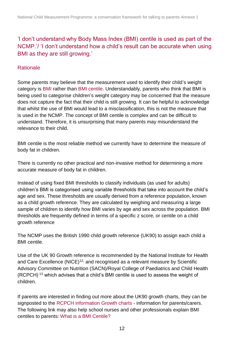## <span id="page-11-0"></span>'I don't understand why Body Mass Index (BMI) centile is used as part of the NCMP.'/ 'I don't understand how a child's result can be accurate when using BMI as they are still growing.'

### **Rationale**

Some parents may believe that the measurement used to identify their child's weight category is BMI rather than BMI centile. Understandably, parents who think that BMI is being used to categorise children's weight category may be concerned that the measure does not capture the fact that their child is still growing. It can be helpful to acknowledge that whilst the use of BMI would lead to a misclassification, this is not the measure that is used in the NCMP. The concept of BMI centile is complex and can be difficult to understand. Therefore, it is unsurprising that many parents may misunderstand the relevance to their child.

BMI centile is the most reliable method we currently have to determine the measure of body fat in children.

There is currently no other practical and non-invasive method for determining a more accurate measure of body fat in children.

Instead of using fixed BMI thresholds to classify individuals (as used for adults) children's BMI is categorised using variable thresholds that take into account the child's age and sex. These thresholds are usually derived from a reference population, known as a child growth reference. They are calculated by weighing and measuring a large sample of children to identify how BMI varies by age and sex across the population. BMI thresholds are frequently defined in terms of a specific z score, or centile on a child growth reference

The NCMP uses the British 1990 child growth reference (UK90) to assign each child a BMI centile.

Use of the UK 90 Growth reference is recommended by the National Institute for Health and Care Excellence  $(NICE)^{12}$ , and recognised as a relevant measure by Scientific Advisory Committee on Nutrition (SACN)/Royal College of Paediatrics and Child Health (RCPCH) <sup>13</sup> which advises that a child's BMI centile is used to assess the weight of children.

If parents are interested in finding out more about the UK90 growth charts, they can be signposted to the [RCPCH information Growth charts](https://www.rcpch.ac.uk/resources/growth-charts-information-parentscarers) - information for parents/carers. The following link may also help school nurses and other professionals explain BMI centiles to parents: [What is a BMI Centile?](https://www.youtube.com/watch?v=4D02UAaknpA)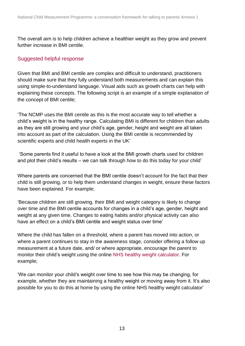The overall aim is to help children achieve a healthier weight as they grow and prevent further increase in BMI centile.

### Suggested helpful response

Given that BMI and BMI centile are complex and difficult to understand, practitioners should make sure that they fully understand both measurements and can explain this using simple-to-understand language. Visual aids such as growth charts can help with explaining these concepts. The following script is an example of a simple explanation of the concept of BMI centile;

'The NCMP uses the BMI centile as this is the most accurate way to tell whether a child's weight is in the healthy range. Calculating BMI is different for children than adults as they are still growing and your child's age, gender, height and weight are all taken into account as part of the calculation. Using the BMI centile is recommended by scientific experts and child health experts in the UK'

'Some parents find it useful to have a look at the BMI growth charts used for children and plot their child's results – we can talk through how to do this today for your child'

Where parents are concerned that the BMI centile doesn't account for the fact that their child is still growing, or to help them understand changes in weight, ensure these factors have been explained. For example;

'Because children are still growing, their BMI and weight category is likely to change over time and the BMI centile accounts for changes in a child's age, gender, height and weight at any given time. Changes to eating habits and/or physical activity can also have an effect on a child's BMI centile and weight status over time'

Where the child has fallen on a threshold, where a parent has moved into action, or where a parent continues to stay in the awareness stage, consider offering a follow up measurement at a future date, and/ or where appropriate, encourage the parent to monitor their child's weight using the online [NHS healthy weight calculator.](https://www.nhs.uk/live-well/healthy-weight/bmi-calculator/) For example;

'We can monitor your child's weight over time to see how this may be changing, for example, whether they are maintaining a healthy weight or moving away from it. It's also possible for you to do this at home by using the online NHS healthy weight calculator'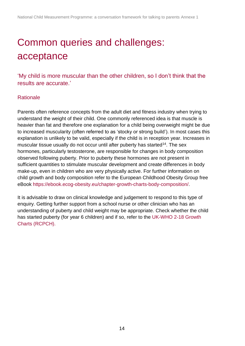# <span id="page-13-0"></span>Common queries and challenges: acceptance

<span id="page-13-1"></span>'My child is more muscular than the other children, so I don't think that the results are accurate.'

### **Rationale**

Parents often reference concepts from the adult diet and fitness industry when trying to understand the weight of their child. One commonly referenced idea is that muscle is heavier than fat and therefore one explanation for a child being overweight might be due to increased muscularity (often referred to as 'stocky or strong build'). In most cases this explanation is unlikely to be valid, especially if the child is in reception year. Increases in muscular tissue usually do not occur until after puberty has started<sup>14</sup>. The sex hormones, particularly testosterone, are responsible for changes in body composition observed following puberty. Prior to puberty these hormones are not present in sufficient quantities to stimulate muscular development and create differences in body make-up, even in children who are very physically active. For further information on child growth and body composition refer to the European Childhood Obesity Group free eBook [https://ebook.ecog-obesity.eu/chapter-growth-charts-body-composition/.](https://ebook.ecog-obesity.eu/chapter-growth-charts-body-composition/)

It is advisable to draw on clinical knowledge and judgement to respond to this type of enquiry. Getting further support from a school nurse or other clinician who has an understanding of puberty and child weight may be appropriate. Check whether the child has started puberty (for year 6 children) and if so, refer to the [UK-WHO 2-18 Growth](https://www.rcpch.ac.uk/resources/uk-who-growth-charts-2-18-years)  [Charts \(RCPCH\).](https://www.rcpch.ac.uk/resources/uk-who-growth-charts-2-18-years)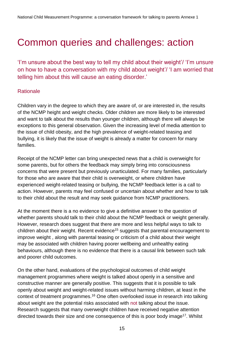## <span id="page-14-0"></span>Common queries and challenges: action

<span id="page-14-1"></span>'I'm unsure about the best way to tell my child about their weight'/ 'I'm unsure on how to have a conversation with my child about weight'/ 'I am worried that telling him about this will cause an eating disorder.'

### **Rationale**

Children vary in the degree to which they are aware of, or are interested in, the results of the NCMP height and weight checks. Older children are more likely to be interested and want to talk about the results than younger children, although there will always be exceptions to this general observation. Given the increasing level of media attention to the issue of child obesity, and the high prevalence of weight-related teasing and bullying, it is likely that the issue of weight is already a matter for concern for many families.

Receipt of the NCMP letter can bring unexpected news that a child is overweight for some parents, but for others the feedback may simply bring into consciousness concerns that were present but previously unarticulated. For many families, particularly for those who are aware that their child is overweight, or where children have experienced weight-related teasing or bullying, the NCMP feedback letter is a call to action. However, parents may feel confused or uncertain about whether and how to talk to their child about the result and may seek guidance from NCMP practitioners.

At the moment there is a no evidence to give a definitive answer to the question of whether parents should talk to their child about the NCMP feedback or weight generally. However, research does suggest that there are more and less helpful ways to talk to children about their weight. Recent evidence<sup>15</sup> suggests that parental encouragement to improve weight , along with parental teasing or criticism of a child about their weight may be associated with children having poorer wellbeing and unhealthy eating behaviours, although there is no evidence that there is a causal link between such talk and poorer child outcomes.

On the other hand, evaluations of the psychological outcomes of child weight management programmes where weight is talked about openly in a sensitive and constructive manner are generally positive. This suggests that it is possible to talk openly about weight and weight-related issues without harming children, at least in the context of treatment programmes.<sup>16</sup> One often overlooked issue in research into talking about weight are the potential risks associated with not talking about the issue. Research suggests that many overweight children have received negative attention directed towards their size and one consequence of this is poor body image<sup>17</sup>. Whilst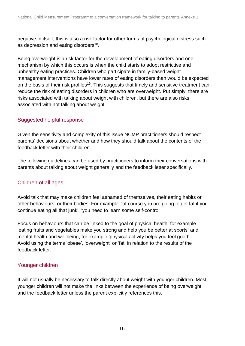negative in itself, this is also a risk factor for other forms of psychological distress such as depression and eating disorders<sup>18</sup>.

Being overweight is a risk factor for the development of eating disorders and one mechanism by which this occurs is when the child starts to adopt restrictive and unhealthy eating practices. Children who participate in family-based weight management interventions have lower rates of eating disorders than would be expected on the basis of their risk profiles<sup>19</sup>. This suggests that timely and sensitive treatment can reduce the risk of eating disorders in children who are overweight. Put simply, there are risks associated with talking about weight with children, but there are also risks associated with not talking about weight.

### Suggested helpful response

Given the sensitivity and complexity of this issue NCMP practitioners should respect parents' decisions about whether and how they should talk about the contents of the feedback letter with their children.

The following guidelines can be used by practitioners to inform their conversations with parents about talking about weight generally and the feedback letter specifically.

### Children of all ages

Avoid talk that may make children feel ashamed of themselves, their eating habits or other behaviours, or their bodies. For example, 'of course you are going to get fat if you continue eating all that junk', 'you need to learn some self-control'

Focus on behaviours that can be linked to the goal of physical health, for example 'eating fruits and vegetables make you strong and help you be better at sports' and mental health and wellbeing, for example 'physical activity helps you feel good' Avoid using the terms 'obese', 'overweight' or 'fat' in relation to the results of the feedback letter.

## Younger children

It will not usually be necessary to talk directly about weight with younger children. Most younger children will not make the links between the experience of being overweight and the feedback letter unless the parent explicitly references this.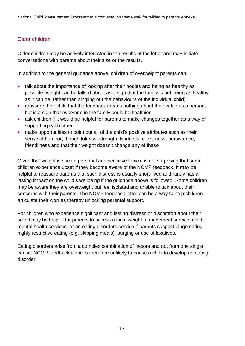#### Older children

Older children may be actively interested in the results of the letter and may initiate conversations with parents about their size or the results.

In addition to the general guidance above, children of overweight parents can:

- talk about the importance of looking after their bodies and being as healthy as possible (weight can be talked about as a sign that the family is not being as healthy as it can be, rather than singling out the behaviours of the individual child)
- reassure their child that the feedback means nothing about their value as a person, but is a sign that everyone in the family could be healthier
- ask children if it would be helpful for parents to make changes together as a way of supporting each other
- make opportunities to point out all of the child's positive attributes such as their sense of humour, thoughtfulness, strength, kindness, cleverness, persistence, friendliness and that their weight doesn't change any of these

Given that weight is such a personal and sensitive topic it is not surprising that some children experience upset if they become aware of the NCMP feedback. It may be helpful to reassure parents that such distress is usually short-lived and rarely has a lasting impact on the child's wellbeing if the guidance above is followed. Some children may be aware they are overweight but feel isolated and unable to talk about their concerns with their parents. The NCMP feedback letter can be a way to help children articulate their worries thereby unlocking parental support.

For children who experience significant and lasting distress or discomfort about their size it may be helpful for parents to access a local weight management service, child mental health services, or an eating disorders service if parents suspect binge eating, highly restrictive eating (e.g. skipping meals), purging or use of laxatives.

Eating disorders arise from a complex combination of factors and not from one single cause. NCMP feedback alone is therefore unlikely to cause a child to develop an eating disorder.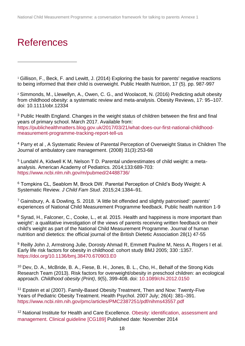## <span id="page-17-0"></span>References

l

<sup>1</sup> Gillison, F., Beck, F. and Lewitt, J. (2014) Exploring the basis for parents' negative reactions to being informed that their child is overweight. Public Health Nutrition, 17 (5). pp. 987-997

<sup>2</sup> Simmonds, M., Llewellyn, A., Owen, C. G., and Woolacott, N. (2016) Predicting adult obesity from childhood obesity: a systematic review and meta-analysis. Obesity Reviews, 17: 95–107. doi: 10.1111/obr.12334

<sup>3</sup> Public Health England. Changes in the weight status of children between the first and final years of primary school. March 2017. Available from: [https://publichealthmatters.blog.gov.uk/2017/03/21/what-does-our-first-national-childhood](https://publichealthmatters.blog.gov.uk/2017/03/21/what-does-our-first-national-childhood-measurement-programme-tracking-report-tell-us)[measurement-programme-tracking-report-tell-us](https://publichealthmatters.blog.gov.uk/2017/03/21/what-does-our-first-national-childhood-measurement-programme-tracking-report-tell-us)

<sup>4</sup> Parry et al , A Systematic Review of Parental Perception of Overweight Status in Children [The](https://www.researchgate.net/journal/0148-9917_The_Journal_of_ambulatory_care_management)  [Journal of ambulatory care management.](https://www.researchgate.net/journal/0148-9917_The_Journal_of_ambulatory_care_management) (2008) 31(3):253-68

<sup>5</sup> Lundahl A, Kidwell K M, Nelson T D. Parental underestimates of child weight: a metaanalysis. American Academy of Pediatrics. 2014;133:689-703: <https://www.ncbi.nlm.nih.gov/m/pubmed/24488736/>

<sup>6</sup> Tompkins CL, Seablom M, Brock DW. Parental Perception of Child's Body Weight: A Systematic Review. *J Child Fam Stud*. 2015;24:1384–91.

<sup>7</sup> Gainsbury, A. & Dowling, S. 2018. 'A little bit offended and slightly patronised': parents' experiences of National Child Measurement Programme feedback. Public health nutrition 1-9

8 Svrad, H., Falconer, C., Cooke, L., et al. 2015. Health and happiness is more important than weight': a qualitative investigation of the views of parents receiving written feedback on their child's weight as part of the National Child Measurement Programme. Journal of human nutrition and dietetics: the official journal of the British Dietetic Association 28(1) 47-55

<sup>9</sup> Reilly John J, Armstrong Julie, Dorosty Ahmad R, Emmett Pauline M, Ness A, Rogers I et al. Early life risk factors for obesity in childhood: cohort study BMJ 2005; 330 :1357. <https://doi.org/10.1136/bmj.38470.670903.E0>

<sup>10</sup> Dev, D. A., McBride, B. A., Fiese, B. H., Jones, B. L., Cho, H., Behalf of the Strong Kids Research Team (2013). Risk factors for overweight/obesity in preschool children: an ecological approach. *Childhood obesity (Print)*, *9*(5), 399-408. doi: [10.1089/chi.2012.0150](https://dx.doi.org/10.1089%2Fchi.2012.0150)

<sup>11</sup> Epstein et al (2007). Family-Based Obesity Treatment, Then and Now: Twenty-Five Years of Pediatric Obesity Treatment. Health Psychol. 2007 July; 26(4): 381–391. <https://www.ncbi.nlm.nih.gov/pmc/articles/PMC2387251/pdf/nihms43557.pdf>

<sup>12</sup> National Institute for Health and Care Excellence. Obesity: identification, assessment and [management. Clinical guideline \[CG189\]](https://www.nice.org.uk/guidance/cg189) Published date: November 2014